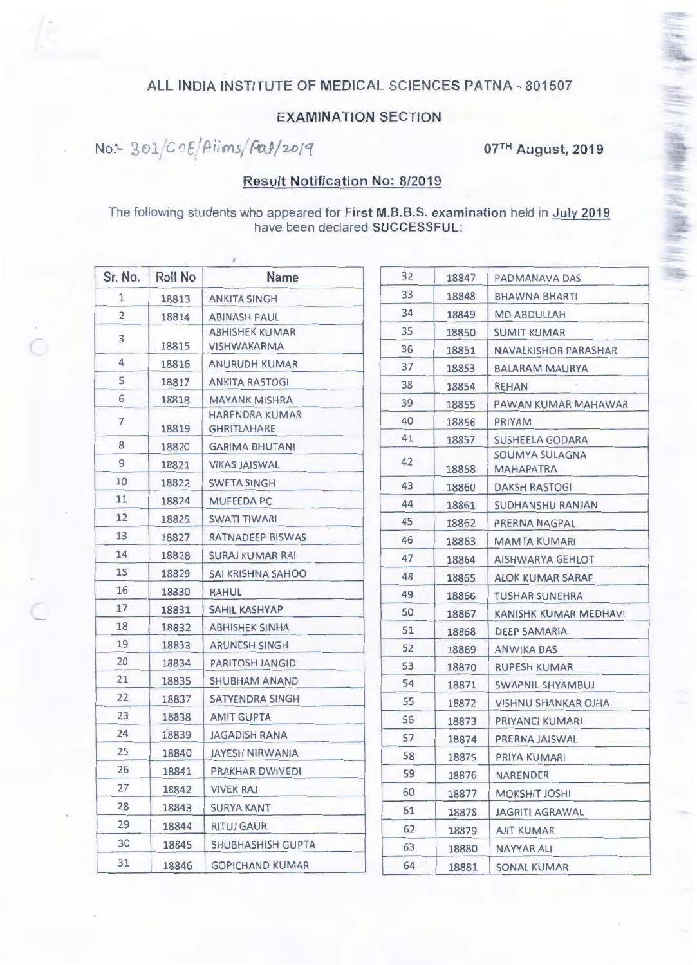## ALL INDIA INSTITUTE OF MEDICAL SCIENCES PATNA - 801507

## **EXAMINATION SECTION**

No :- 301/C0E/Aiims/Pat/2019

07TH August, 2019

(KH) / 《廣播羅集之伝史》(西藏學 ) 《路》

## **Result Notification No: 8/2019**

The following students who appeared for First M.B.B.S. examination held in July 2019 have been declared SUCCESSFUL:

| Sr. No.        | Roll No | <b>Name</b>                                 | 32 | 18847 | PADMANAVA DAS                      |
|----------------|---------|---------------------------------------------|----|-------|------------------------------------|
| $\mathbf{1}$   | 18813   | <b>ANKITA SINGH</b>                         | 33 | 18848 | BHAWNA BHARTI                      |
| $\overline{2}$ | 18814   | <b>ABINASH PAUL</b>                         | 34 | 18849 | <b>MD ABDULLAH</b>                 |
|                |         | <b>ABHISHEK KUMAR</b>                       | 35 | 18850 | <b>SUMIT KUMAR</b>                 |
| 3              | 18815   | <b>VISHWAKARMA</b>                          | 36 | 18851 | NAVALKISHOR PARASHAR               |
| 4              | 18816   | ANURUDH KUMAR                               | 37 | 18853 | <b>BALARAM MAURYA</b>              |
| 5              | 18817   | ANKITA RASTOGI                              | 38 | 18854 | <b>REHAN</b>                       |
| 6              | 18818   | <b>MAYANK MISHRA</b>                        | 39 | 18855 | PAWAN KUMAR MAHAWAR                |
| $\overline{7}$ | 18819   | <b>HARENDRA KUMAR</b><br><b>GHRITLAHARE</b> | 40 | 18856 | PRIYAM                             |
| 8              | 18820   | <b>GARIMA BHUTANI</b>                       | 41 | 18857 | SUSHEELA GODARA                    |
| 9              | 18821   | VIKAS JAISWAL                               | 42 | 18858 | SOUMYA SULAGNA<br><b>MAHAPATRA</b> |
| 10             | 18822   | <b>SWETA SINGH</b>                          | 43 | 18860 | DAKSH RASTOGI                      |
| 11             | 18824   | <b>MUFEEDA PC</b>                           | 44 | 18861 | SUDHANSHU RANJAN                   |
| 12             | 18825   | <b>SWATI TIWARI</b>                         | 45 | 18862 | PRERNA NAGPAL                      |
| 13             | 18827   | RATNADEEP BISWAS                            | 46 | 18863 | <b>MAMTA KUMARI</b>                |
| 14             | 18828   | SURAJ KUMAR RAI                             | 47 | 18864 | AISHWARYA GEHLOT                   |
| 15             | 18829   | SAI KRISHNA SAHOO                           | 48 | 18865 | ALOK KUMAR SARAF                   |
| 16             | 18830   | RAHUL                                       | 49 | 18866 | <b>TUSHAR SUNEHRA</b>              |
| 17             | 18831   | SAHIL KASHYAP                               | 50 | 18867 | KANISHK KUMAR MEDHAVI              |
| 18             | 18832   | ABHISHEK SINHA                              | 51 | 18868 | DEEP SAMARIA                       |
| 19             | 18833   | <b>ARUNESH SINGH</b>                        | 52 | 18869 | ANWIKA DAS                         |
| 20             | 18834   | PARITOSH JANGID                             | 53 | 18870 | <b>RUPESH KUMAR</b>                |
| 21             | 18835   | SHUBHAM ANAND                               | 54 | 18871 | SWAPNIL SHYAMBUJ                   |
| 22             | 18837   | SATYENDRA SINGH                             | 55 | 18872 | VISHNU SHANKAR OJHA                |
| 23             | 18838   | <b>AMIT GUPTA</b>                           | 56 | 18873 | PRIYANCI KUMARI                    |
| 24             | 18839   | <b>JAGADISH RANA</b>                        | 57 | 18874 | PRERNA JAISWAL                     |
| 25             | 18840   | JAYESH NIRWANIA                             | 58 | 18875 | PRIYA KUMARI                       |
| 26             | 18841   | PRAKHAR DWIVEDI                             | 59 | 18876 | <b>NARENDER</b>                    |
| 27             | 18842   | <b>VIVEK RAJ</b>                            | 60 | 18877 | <b>MOKSHIT JOSHI</b>               |
| 28             | 18843   | <b>SURYA KANT</b>                           | 61 | 18878 | <b>JAGRITI AGRAWAL</b>             |
| 29             | 18844   | <b>RITUJ GAUR</b>                           | 62 | 18879 | <b>AJIT KUMAR</b>                  |
| 30             | 18845   | SHUBHASHISH GUPTA                           | 63 | 18880 | <b>NAYYAR ALI</b>                  |
| 31             | 18846   | <b>GOPICHAND KUMAR</b>                      | 64 | 18881 | <b>SONAL KUMAR</b>                 |